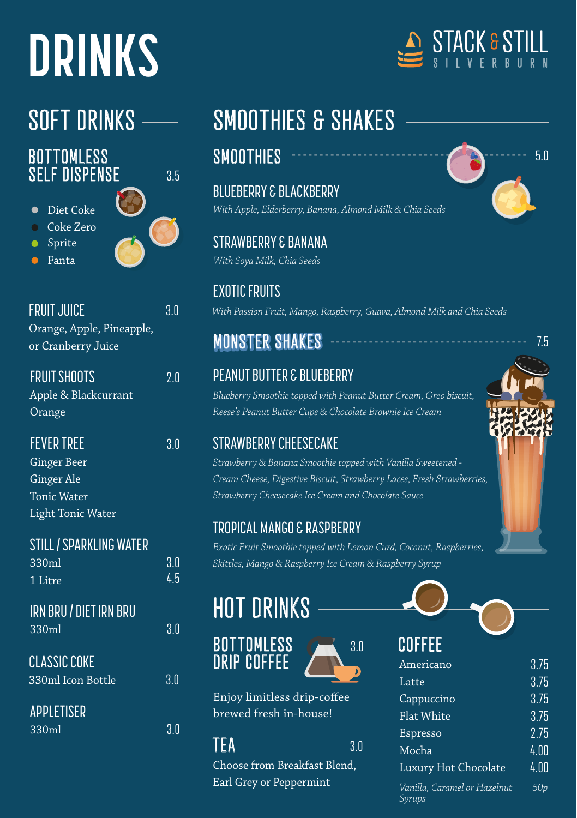# **DRINKS**

#### **BOTTOMLESS SELF DISPENSE**

Diet Coke

- Coke Zero
- Sprite
- Fanta

3.5

3.0

3.0 4.5

| FRUIT JUICE               |  |
|---------------------------|--|
| Orange, Apple, Pineapple, |  |
| or Cranberry Juice        |  |

| <b>FRUIT SHOOTS</b>  | 2.0 |
|----------------------|-----|
| Apple & Blackcurrant |     |
| Orange               |     |

FEVER TREE 3.0 Ginger Beer Ginger Ale Tonic Water Light Tonic Water

| <b>STILL / SPARKLING WATER</b> |  |
|--------------------------------|--|
|                                |  |
| 330ml                          |  |

| 1 Litre |  |  |
|---------|--|--|
|         |  |  |

| IRN BRU / DIET IRN BRU |  |  |
|------------------------|--|--|
|                        |  |  |
|                        |  |  |

| 330ml               | 3 <sub>0</sub> |
|---------------------|----------------|
| <b>CLASSIC COKE</b> |                |
| 330ml Icon Bottle   | '3.N           |
| APPLETISER          |                |
| 330ml               | 3 N            |

## SOFT DRINKS - SMOOTHIES & SHAKES

### **SMOOTHIES**

BLUEBERRY & BLACKBERRY *With Apple, Elderberry, Banana, Almond Milk & Chia Seeds*

STRAWBERRY & BANANA *With Soya Milk, Chia Seeds*

EXOTIC FRUITS *With Passion Fruit, Mango, Raspberry, Guava, Almond Milk and Chia Seeds*

### **MONSTER SHAKES**

### PEANUT BUTTER & BLUEBERRY

*Blueberry Smoothie topped with Peanut Butter Cream, Oreo biscuit, Reese's Peanut Butter Cups & Chocolate Brownie Ice Cream*

### STRAWBERRY CHEESECAKE

*Strawberry & Banana Smoothie topped with Vanilla Sweetened - Cream Cheese, Digestive Biscuit, Strawberry Laces, Fresh Strawberries, Strawberry Cheesecake Ice Cream and Chocolate Sauce*

### TROPICAL MANGO & RASPBERRY

*Exotic Fruit Smoothie topped with Lemon Curd, Coconut, Raspberries, Skittles, Mango & Raspberry Ice Cream & Raspberry Syrup*

### HOT DRINKS





Enjoy limitless drip-coffee brewed fresh in-house!

#### **3.0**

Choose from Breakfast Blend, Earl Grey or Peppermint



| UUILL                                  |      |
|----------------------------------------|------|
| Americano                              | 3.75 |
| Latte                                  | 3.75 |
| Cappuccino                             | 3.75 |
| Flat White                             | 3.75 |
| Espresso                               | 2.75 |
| Mocha                                  | 4.00 |
| Luxury Hot Chocolate                   | 4.00 |
| Vanilla, Caramel or Hazelnut<br>Syrups | 50v  |





5.0

7.5